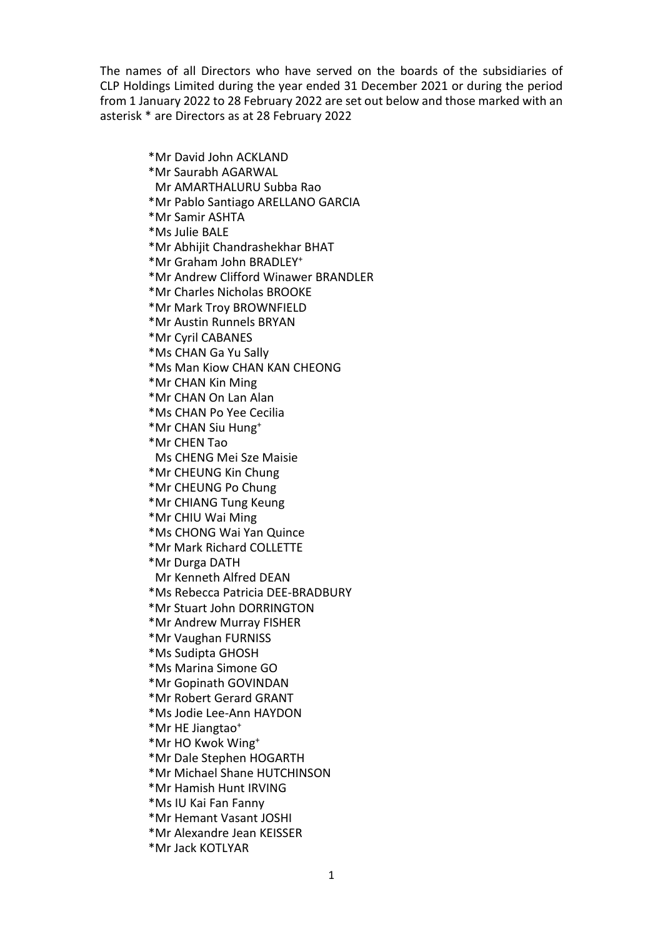The names of all Directors who have served on the boards of the subsidiaries of CLP Holdings Limited during the year ended 31 December 2021 or during the period from 1 January 2022 to 28 February 2022 are set out below and those marked with an asterisk \* are Directors as at 28 February 2022

> \*Mr David John ACKLAND \*Mr Saurabh AGARWAL Mr AMARTHALURU Subba Rao \*Mr Pablo Santiago ARELLANO GARCIA \*Mr Samir ASHTA \*Ms Julie BALE \*Mr Abhijit Chandrashekhar BHAT \*Mr Graham John BRADLEY+ \*Mr Andrew Clifford Winawer BRANDLER \*Mr Charles Nicholas BROOKE \*Mr Mark Troy BROWNFIELD \*Mr Austin Runnels BRYAN \*Mr Cyril CABANES \*Ms CHAN Ga Yu Sally \*Ms Man Kiow CHAN KAN CHEONG \*Mr CHAN Kin Ming \*Mr CHAN On Lan Alan \*Ms CHAN Po Yee Cecilia \*Mr CHAN Siu Hung+ \*Mr CHEN Tao Ms CHENG Mei Sze Maisie \*Mr CHEUNG Kin Chung \*Mr CHEUNG Po Chung \*Mr CHIANG Tung Keung \*Mr CHIU Wai Ming \*Ms CHONG Wai Yan Quince \*Mr Mark Richard COLLETTE \*Mr Durga DATH Mr Kenneth Alfred DEAN \*Ms Rebecca Patricia DEE-BRADBURY \*Mr Stuart John DORRINGTON \*Mr Andrew Murray FISHER \*Mr Vaughan FURNISS \*Ms Sudipta GHOSH \*Ms Marina Simone GO \*Mr Gopinath GOVINDAN \*Mr Robert Gerard GRANT \*Ms Jodie Lee-Ann HAYDON \*Mr HE Jiangtao+ \*Mr HO Kwok Wing+ \*Mr Dale Stephen HOGARTH \*Mr Michael Shane HUTCHINSON \*Mr Hamish Hunt IRVING \*Ms IU Kai Fan Fanny \*Mr Hemant Vasant JOSHI \*Mr Alexandre Jean KEISSER \*Mr Jack KOTLYAR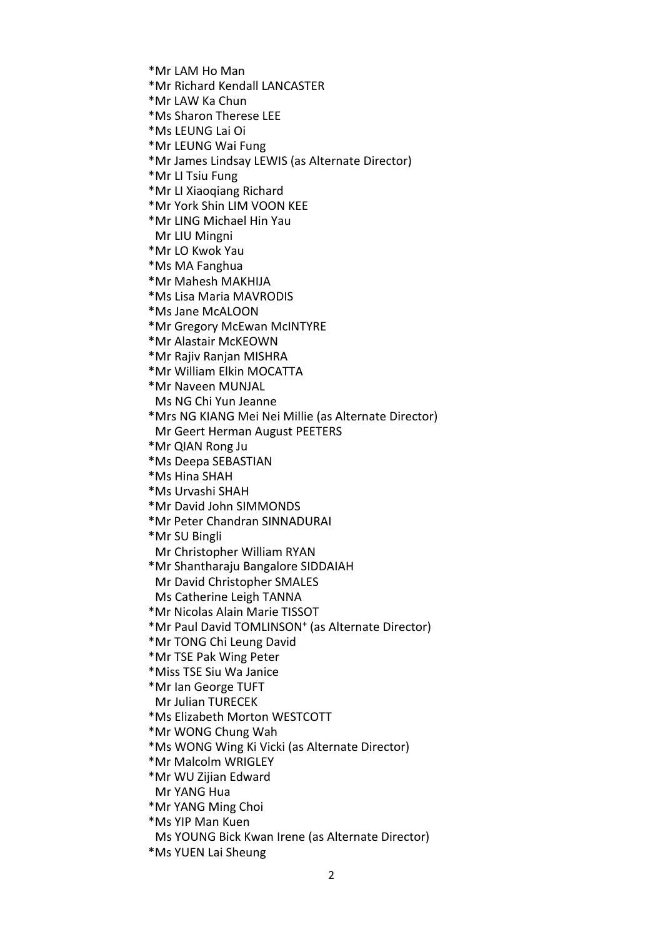- \*Mr LAM Ho Man
- \*Mr Richard Kendall LANCASTER
- \*Mr LAW Ka Chun
- \*Ms Sharon Therese LEE
- \*Ms LEUNG Lai Oi
- \*Mr LEUNG Wai Fung
- \*Mr James Lindsay LEWIS (as Alternate Director)
- \*Mr LI Tsiu Fung
- \*Mr LI Xiaoqiang Richard
- \*Mr York Shin LIM VOON KEE
- \*Mr LING Michael Hin Yau Mr LIU Mingni
- \*Mr LO Kwok Yau
- \*Ms MA Fanghua
- \*Mr Mahesh MAKHIJA
- \*Ms Lisa Maria MAVRODIS
- \*Ms Jane McALOON
- \*Mr Gregory McEwan McINTYRE
- \*Mr Alastair McKEOWN
- \*Mr Rajiv Ranjan MISHRA
- \*Mr William Elkin MOCATTA
- \*Mr Naveen MUNJAL
- Ms NG Chi Yun Jeanne
- \*Mrs NG KIANG Mei Nei Millie (as Alternate Director) Mr Geert Herman August PEETERS
- \*Mr QIAN Rong Ju
- \*Ms Deepa SEBASTIAN
- \*Ms Hina SHAH
- \*Ms Urvashi SHAH
- \*Mr David John SIMMONDS
- \*Mr Peter Chandran SINNADURAI
- \*Mr SU Bingli
- Mr Christopher William RYAN
- \*Mr Shantharaju Bangalore SIDDAIAH Mr David Christopher SMALES
- Ms Catherine Leigh TANNA
- 
- \*Mr Nicolas Alain Marie TISSOT
- \*Mr Paul David TOMLINSON+ (as Alternate Director)
- \*Mr TONG Chi Leung David
- \*Mr TSE Pak Wing Peter
- \*Miss TSE Siu Wa Janice
- \*Mr Ian George TUFT
- Mr Julian TURECEK
- \*Ms Elizabeth Morton WESTCOTT
- \*Mr WONG Chung Wah
- \*Ms WONG Wing Ki Vicki (as Alternate Director)
- \*Mr Malcolm WRIGLEY
- \*Mr WU Zijian Edward
- Mr YANG Hua
- \*Mr YANG Ming Choi
- \*Ms YIP Man Kuen
- Ms YOUNG Bick Kwan Irene (as Alternate Director)
- \*Ms YUEN Lai Sheung